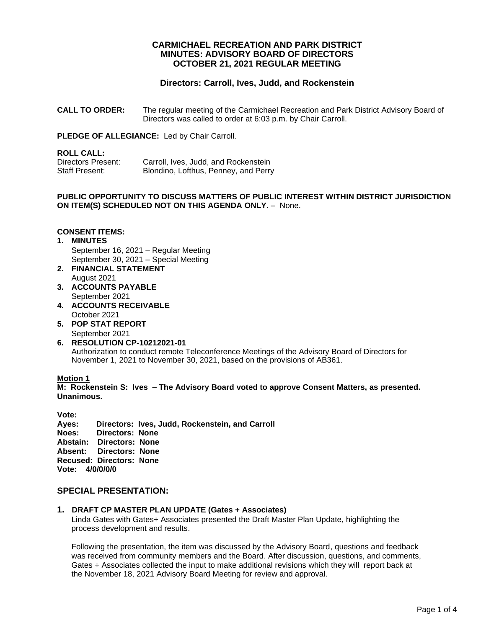# **CARMICHAEL RECREATION AND PARK DISTRICT MINUTES: ADVISORY BOARD OF DIRECTORS OCTOBER 21, 2021 REGULAR MEETING**

# **Directors: Carroll, Ives, Judd, and Rockenstein**

**CALL TO ORDER:** The regular meeting of the Carmichael Recreation and Park District Advisory Board of Directors was called to order at 6:03 p.m. by Chair Carroll.

**PLEDGE OF ALLEGIANCE:** Led by Chair Carroll.

### **ROLL CALL:**

| Directors Present: | Carroll, Ives, Judd, and Rockenstein |
|--------------------|--------------------------------------|
| Staff Present:     | Blondino, Lofthus, Penney, and Perry |

## **PUBLIC OPPORTUNITY TO DISCUSS MATTERS OF PUBLIC INTEREST WITHIN DISTRICT JURISDICTION ON ITEM(S) SCHEDULED NOT ON THIS AGENDA ONLY**. – None.

## **CONSENT ITEMS:**

- **1. MINUTES** September 16, 2021 – Regular Meeting September 30, 2021 – Special Meeting
- **2. FINANCIAL STATEMENT** August 2021
- **3. ACCOUNTS PAYABLE**  September 2021
- **4. ACCOUNTS RECEIVABLE** October 2021
- **5. POP STAT REPORT** September 2021
- **6. RESOLUTION CP-10212021-01** Authorization to conduct remote Teleconference Meetings of the Advisory Board of Directors for November 1, 2021 to November 30, 2021, based on the provisions of AB361.

## **Motion 1**

**M: Rockenstein S: Ives – The Advisory Board voted to approve Consent Matters, as presented. Unanimous.**

**Vote: Ayes: Directors: Ives, Judd, Rockenstein, and Carroll Noes: Directors: None Abstain: Directors: None Absent: Directors: None Recused: Directors: None Vote: 4/0/0/0/0**

# **SPECIAL PRESENTATION:**

## **1. DRAFT CP MASTER PLAN UPDATE (Gates + Associates)**

Linda Gates with Gates+ Associates presented the Draft Master Plan Update, highlighting the process development and results.

Following the presentation, the item was discussed by the Advisory Board, questions and feedback was received from community members and the Board. After discussion, questions, and comments, Gates + Associates collected the input to make additional revisions which they will report back at the November 18, 2021 Advisory Board Meeting for review and approval.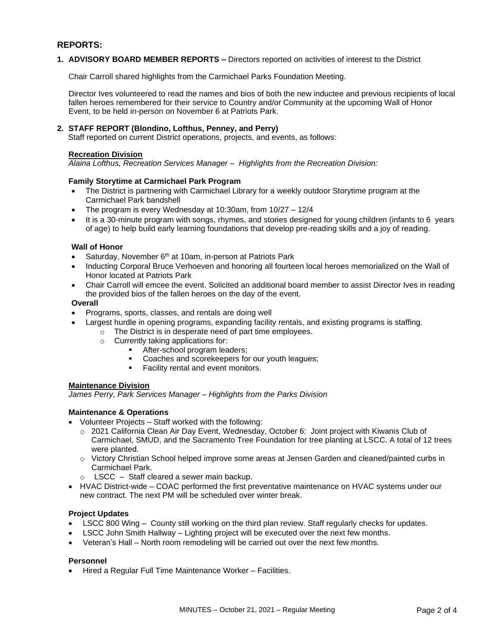# **REPORTS:**

## **1. ADVISORY BOARD MEMBER REPORTS –** Directors reported on activities of interest to the District

Chair Carroll shared highlights from the Carmichael Parks Foundation Meeting.

Director Ives volunteered to read the names and bios of both the new inductee and previous recipients of local fallen heroes remembered for their service to Country and/or Community at the upcoming Wall of Honor Event, to be held in-person on November 6 at Patriots Park.

### **2. STAFF REPORT (Blondino, Lofthus, Penney, and Perry)**

Staff reported on current District operations, projects, and events, as follows:

#### **Recreation Division**

*Alaina Lofthus, Recreation Services Manager – Highlights from the Recreation Division:*

#### **Family Storytime at Carmichael Park Program**

- The District is partnering with Carmichael Library for a weekly outdoor Storytime program at the Carmichael Park bandshell
- The program is every Wednesday at 10:30am, from 10/27 12/4
- It is a 30-minute program with songs, rhymes, and stories designed for young children (infants to 6 years of age) to help build early learning foundations that develop pre-reading skills and a joy of reading.

#### **Wall of Honor**

- Saturday, November  $6<sup>th</sup>$  at 10am, in-person at Patriots Park
- Inducting Corporal Bruce Verhoeven and honoring all fourteen local heroes memorialized on the Wall of Honor located at Patriots Park
- Chair Carroll will emcee the event. Solicited an additional board member to assist Director Ives in reading the provided bios of the fallen heroes on the day of the event.

#### **Overall**

- Programs, sports, classes, and rentals are doing well
	- Largest hurdle in opening programs, expanding facility rentals, and existing programs is staffing.
		- o The District is in desperate need of part time employees.
			- o Currently taking applications for:
				- **EXECUTE:** After-school program leaders;
				- Coaches and scorekeepers for our youth leagues;
				- **Facility rental and event monitors.**

#### **Maintenance Division**

*James Perry, Park Services Manager – Highlights from the Parks Division*

## **Maintenance & Operations**

- Volunteer Projects Staff worked with the following:
	- o 2021 California Clean Air Day Event, Wednesday, October 6: Joint project with Kiwanis Club of Carmichael, SMUD, and the Sacramento Tree Foundation for tree planting at LSCC. A total of 12 trees were planted.
	- o Victory Christian School helped improve some areas at Jensen Garden and cleaned/painted curbs in Carmichael Park.
	- $\circ$  LSCC Staff cleared a sewer main backup.
- HVAC District-wide COAC performed the first preventative maintenance on HVAC systems under our new contract. The next PM will be scheduled over winter break.

## **Project Updates**

- LSCC 800 Wing County still working on the third plan review. Staff regularly checks for updates.
- LSCC John Smith Hallway Lighting project will be executed over the next few months.
- Veteran's Hall North room remodeling will be carried out over the next few months.

## **Personnel**

• Hired a Regular Full Time Maintenance Worker – Facilities.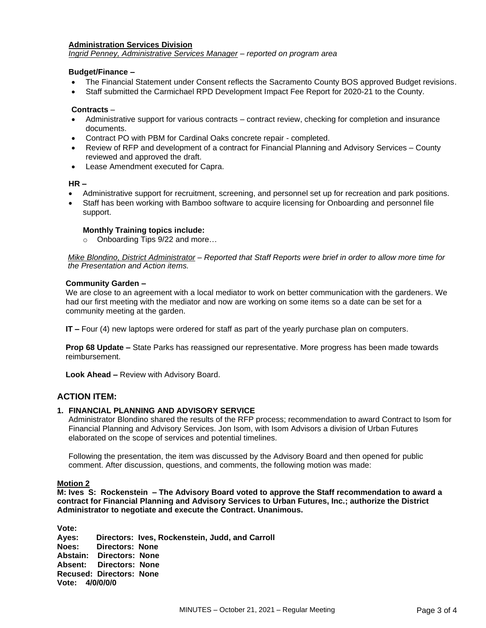### **Administration Services Division**

*Ingrid Penney, Administrative Services Manager – reported on program area*

#### **Budget/Finance –**

- The Financial Statement under Consent reflects the Sacramento County BOS approved Budget revisions.
- Staff submitted the Carmichael RPD Development Impact Fee Report for 2020-21 to the County.

### **Contracts** –

- Administrative support for various contracts contract review, checking for completion and insurance documents.
- Contract PO with PBM for Cardinal Oaks concrete repair completed.
- Review of RFP and development of a contract for Financial Planning and Advisory Services County reviewed and approved the draft.
- Lease Amendment executed for Capra.

#### **HR –**

- Administrative support for recruitment, screening, and personnel set up for recreation and park positions.
- Staff has been working with Bamboo software to acquire licensing for Onboarding and personnel file support.

#### **Monthly Training topics include:**

o Onboarding Tips 9/22 and more…

*Mike Blondino, District Administrator – Reported that Staff Reports were brief in order to allow more time for the Presentation and Action items.*

#### **Community Garden –**

We are close to an agreement with a local mediator to work on better communication with the gardeners. We had our first meeting with the mediator and now are working on some items so a date can be set for a community meeting at the garden.

**IT –** Four (4) new laptops were ordered for staff as part of the yearly purchase plan on computers.

**Prop 68 Update –** State Parks has reassigned our representative. More progress has been made towards reimbursement.

**Look Ahead –** Review with Advisory Board.

## **ACTION ITEM:**

## **1.****FINANCIAL PLANNING AND ADVISORY SERVICE**

Administrator Blondino shared the results of the RFP process; recommendation to award Contract to Isom for Financial Planning and Advisory Services. Jon Isom, with Isom Advisors a division of Urban Futures elaborated on the scope of services and potential timelines.

Following the presentation, the item was discussed by the Advisory Board and then opened for public comment. After discussion, questions, and comments, the following motion was made:

## **Motion 2**

**M: Ives S: Rockenstein – The Advisory Board voted to approve the Staff recommendation to award a contract for Financial Planning and Advisory Services to Urban Futures, Inc.; authorize the District Administrator to negotiate and execute the Contract. Unanimous.** 

**Vote: Ayes: Directors: Ives, Rockenstein, Judd, and Carroll Noes: Directors: None Abstain: Directors: None Absent: Directors: None Recused: Directors: None Vote: 4/0/0/0/0**